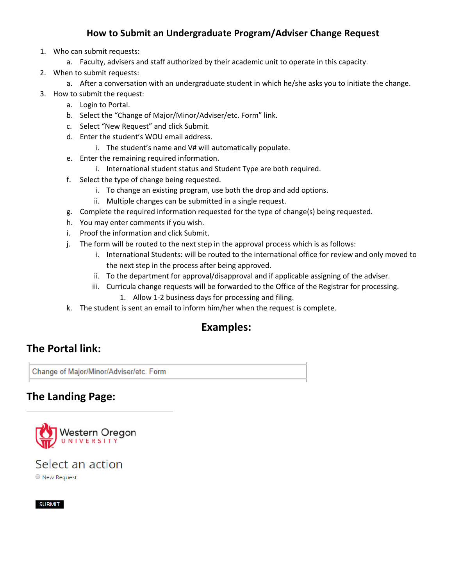## **How to Submit an Undergraduate Program/Adviser Change Request**

- 1. Who can submit requests:
	- a. Faculty, advisers and staff authorized by their academic unit to operate in this capacity.
- 2. When to submit requests:
	- a. After a conversation with an undergraduate student in which he/she asks you to initiate the change.
- 3. How to submit the request:
	- a. Login to Portal.
	- b. Select the "Change of Major/Minor/Adviser/etc. Form" link.
	- c. Select "New Request" and click Submit.
	- d. Enter the student's WOU email address.
		- i. The student's name and V# will automatically populate.
	- e. Enter the remaining required information.
		- i. International student status and Student Type are both required.
	- f. Select the type of change being requested.
		- i. To change an existing program, use both the drop and add options.
		- ii. Multiple changes can be submitted in a single request.
	- g. Complete the required information requested for the type of change(s) being requested.
	- h. You may enter comments if you wish.
	- i. Proof the information and click Submit.
	- j. The form will be routed to the next step in the approval process which is as follows:
		- i. International Students: will be routed to the international office for review and only moved to the next step in the process after being approved.
		- ii. To the department for approval/disapproval and if applicable assigning of the adviser.
		- iii. Curricula change requests will be forwarded to the Office of the Registrar for processing.
			- 1. Allow 1‐2 business days for processing and filing.
	- k. The student is sent an email to inform him/her when the request is complete.

# **Examples:**

# **The Portal link:**

Change of Major/Minor/Adviser/etc. Form

# **The Landing Page:**



### Select an action New Request

**SUBMIT**